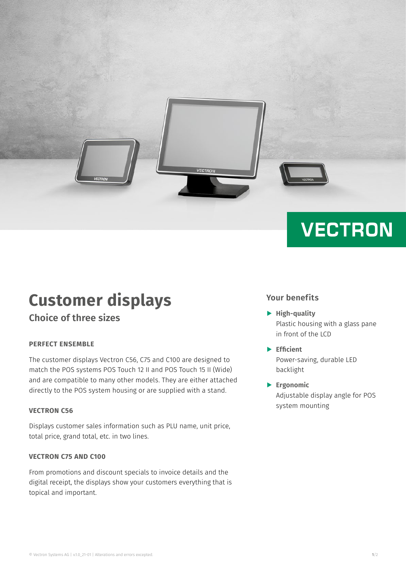

# **Customer displays**

**Choice of three sizes**

#### **PERFECT ENSEMBLE**

The customer displays Vectron C56, C75 and C100 are designed to match the POS systems POS Touch 12 II and POS Touch 15 II (Wide) and are compatible to many other models. They are either attached directly to the POS system housing or are supplied with a stand.

#### **VECTRON C56**

Displays customer sales information such as PLU name, unit price, total price, grand total, etc. in two lines.

#### **VECTRON C75 AND C100**

From promotions and discount specials to invoice details and the digital receipt, the displays show your customers everything that is topical and important.

### **Your benefits**

**VECTRON** 

- A **High-quality**  Plastic housing with a glass pane in front of the LCD
- A **Efficient** Power-saving, durable LED backlight
- A **Ergonomic** Adjustable display angle for POS system mounting